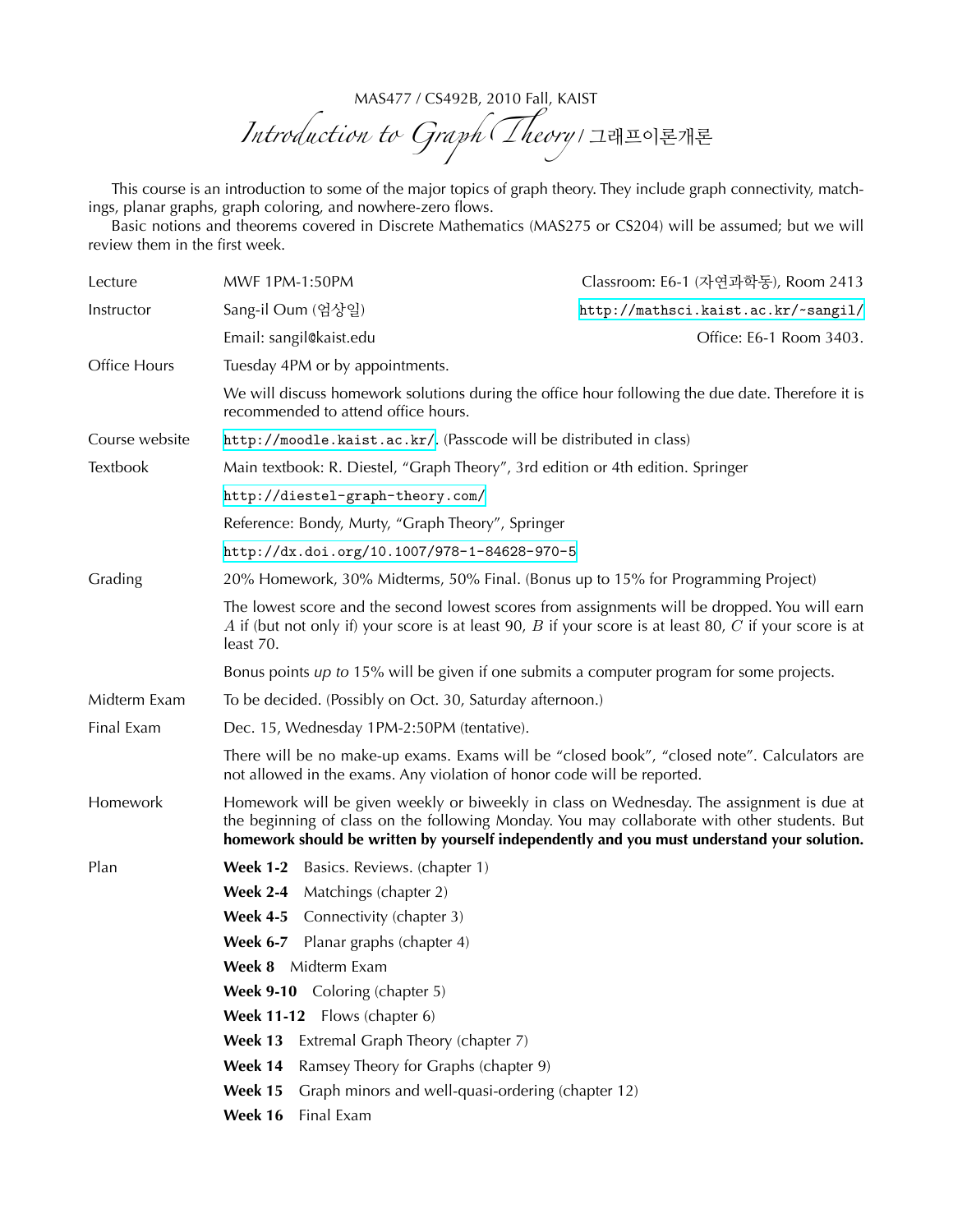MAS477 / CS492B, 2010 Fall, KAIST

*Introduction to Graph Theory* / 그래프이론개론

This course is an introduction to some of the major topics of graph theory. They include graph connectivity, matchings, planar graphs, graph coloring, and nowhere-zero flows.

Basic notions and theorems covered in Discrete Mathematics (MAS275 or CS204) will be assumed; but we will review them in the first week.

| Lecture                        | MWF 1PM-1:50PM                                                                                                                                                                                                                                                                           | Classroom: E6-1 (자연과학동), Room 2413                                               |
|--------------------------------|------------------------------------------------------------------------------------------------------------------------------------------------------------------------------------------------------------------------------------------------------------------------------------------|----------------------------------------------------------------------------------|
| Instructor                     | Sang-il Oum (엄상일)                                                                                                                                                                                                                                                                        | http://mathsci.kaist.ac.kr/~sangil/                                              |
|                                | Email: sangil@kaist.edu                                                                                                                                                                                                                                                                  | Office: E6-1 Room 3403.                                                          |
| Office Hours                   | Tuesday 4PM or by appointments.                                                                                                                                                                                                                                                          |                                                                                  |
|                                | We will discuss homework solutions during the office hour following the due date. Therefore it is<br>recommended to attend office hours.                                                                                                                                                 |                                                                                  |
| Course website                 | http://moodle.kaist.ac.kr/. (Passcode will be distributed in class)                                                                                                                                                                                                                      |                                                                                  |
| Textbook                       | Main textbook: R. Diestel, "Graph Theory", 3rd edition or 4th edition. Springer                                                                                                                                                                                                          |                                                                                  |
|                                | http://diestel-graph-theory.com/                                                                                                                                                                                                                                                         |                                                                                  |
|                                | Reference: Bondy, Murty, "Graph Theory", Springer                                                                                                                                                                                                                                        |                                                                                  |
|                                | http://dx.doi.org/10.1007/978-1-84628-970-5                                                                                                                                                                                                                                              |                                                                                  |
| Grading                        |                                                                                                                                                                                                                                                                                          | 20% Homework, 30% Midterms, 50% Final. (Bonus up to 15% for Programming Project) |
|                                | The lowest score and the second lowest scores from assignments will be dropped. You will earn<br>A if (but not only if) your score is at least 90, $B$ if your score is at least 80, $C$ if your score is at<br>least 70.                                                                |                                                                                  |
|                                | Bonus points up to 15% will be given if one submits a computer program for some projects.                                                                                                                                                                                                |                                                                                  |
| Midterm Exam                   | To be decided. (Possibly on Oct. 30, Saturday afternoon.)                                                                                                                                                                                                                                |                                                                                  |
| Final Exam                     | Dec. 15, Wednesday 1PM-2:50PM (tentative).                                                                                                                                                                                                                                               |                                                                                  |
|                                | There will be no make-up exams. Exams will be "closed book", "closed note". Calculators are<br>not allowed in the exams. Any violation of honor code will be reported.                                                                                                                   |                                                                                  |
| Homework                       | Homework will be given weekly or biweekly in class on Wednesday. The assignment is due at<br>the beginning of class on the following Monday. You may collaborate with other students. But<br>homework should be written by yourself independently and you must understand your solution. |                                                                                  |
| Plan                           | <b>Week 1-2</b><br>Basics. Reviews. (chapter 1)                                                                                                                                                                                                                                          |                                                                                  |
|                                | <b>Week 2-4</b><br>Matchings (chapter 2)                                                                                                                                                                                                                                                 |                                                                                  |
|                                | <b>Week 4-5</b> Connectivity (chapter 3)                                                                                                                                                                                                                                                 |                                                                                  |
|                                | Week 6-7 Planar graphs (chapter 4)                                                                                                                                                                                                                                                       |                                                                                  |
|                                | Week 8 Midterm Exam                                                                                                                                                                                                                                                                      |                                                                                  |
| Week 9-10 Coloring (chapter 5) |                                                                                                                                                                                                                                                                                          |                                                                                  |
|                                | Week 11-12 Flows (chapter 6)<br>Week 13<br>Extremal Graph Theory (chapter 7)<br>Week 14<br>Ramsey Theory for Graphs (chapter 9)<br>Graph minors and well-quasi-ordering (chapter 12)                                                                                                     |                                                                                  |
|                                |                                                                                                                                                                                                                                                                                          |                                                                                  |
|                                |                                                                                                                                                                                                                                                                                          |                                                                                  |
|                                | Week 15                                                                                                                                                                                                                                                                                  |                                                                                  |
| Week 16<br>Final Exam          |                                                                                                                                                                                                                                                                                          |                                                                                  |